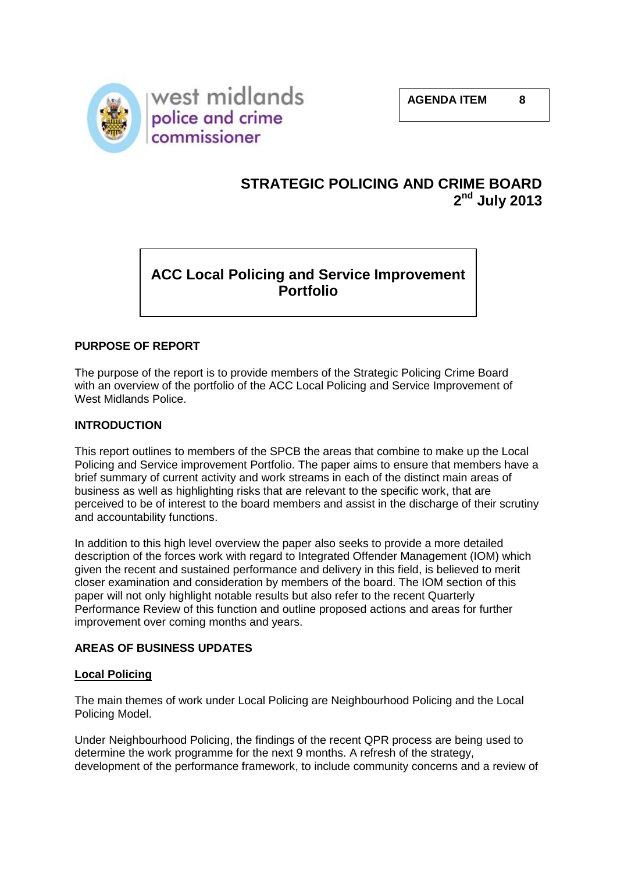

# **STRATEGIC POLICING AND CRIME BOARD 2 nd July 2013**

# **ACC Local Policing and Service Improvement Portfolio**

# **PURPOSE OF REPORT**

The purpose of the report is to provide members of the Strategic Policing Crime Board with an overview of the portfolio of the ACC Local Policing and Service Improvement of West Midlands Police.

# **INTRODUCTION**

This report outlines to members of the SPCB the areas that combine to make up the Local Policing and Service improvement Portfolio. The paper aims to ensure that members have a brief summary of current activity and work streams in each of the distinct main areas of business as well as highlighting risks that are relevant to the specific work, that are perceived to be of interest to the board members and assist in the discharge of their scrutiny and accountability functions.

In addition to this high level overview the paper also seeks to provide a more detailed description of the forces work with regard to Integrated Offender Management (IOM) which given the recent and sustained performance and delivery in this field, is believed to merit closer examination and consideration by members of the board. The IOM section of this paper will not only highlight notable results but also refer to the recent Quarterly Performance Review of this function and outline proposed actions and areas for further improvement over coming months and years.

# **AREAS OF BUSINESS UPDATES**

# **Local Policing**

The main themes of work under Local Policing are Neighbourhood Policing and the Local Policing Model.

Under Neighbourhood Policing, the findings of the recent QPR process are being used to determine the work programme for the next 9 months. A refresh of the strategy, development of the performance framework, to include community concerns and a review of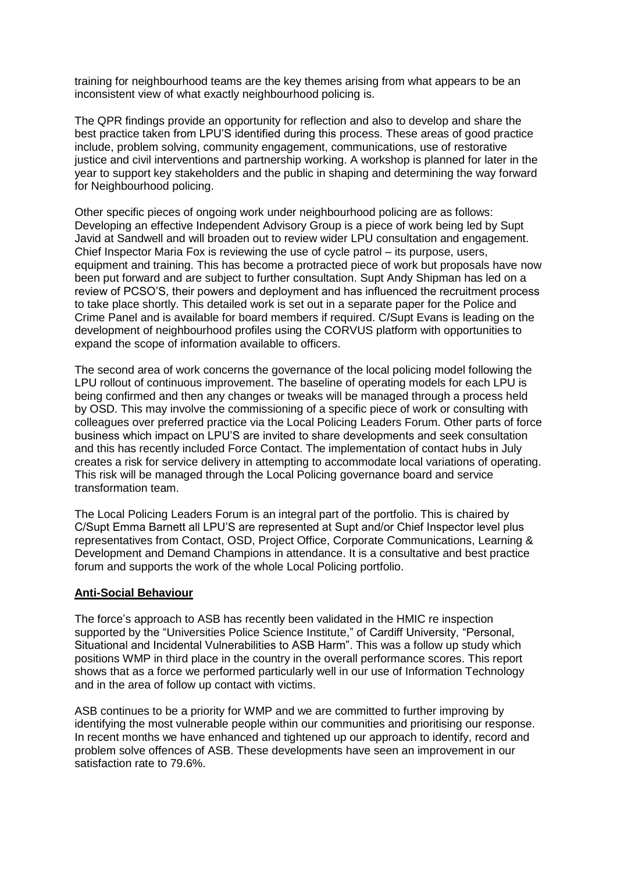training for neighbourhood teams are the key themes arising from what appears to be an inconsistent view of what exactly neighbourhood policing is.

The QPR findings provide an opportunity for reflection and also to develop and share the best practice taken from LPU'S identified during this process. These areas of good practice include, problem solving, community engagement, communications, use of restorative justice and civil interventions and partnership working. A workshop is planned for later in the year to support key stakeholders and the public in shaping and determining the way forward for Neighbourhood policing.

Other specific pieces of ongoing work under neighbourhood policing are as follows: Developing an effective Independent Advisory Group is a piece of work being led by Supt Javid at Sandwell and will broaden out to review wider LPU consultation and engagement. Chief Inspector Maria Fox is reviewing the use of cycle patrol – its purpose, users, equipment and training. This has become a protracted piece of work but proposals have now been put forward and are subject to further consultation. Supt Andy Shipman has led on a review of PCSO'S, their powers and deployment and has influenced the recruitment process to take place shortly. This detailed work is set out in a separate paper for the Police and Crime Panel and is available for board members if required. C/Supt Evans is leading on the development of neighbourhood profiles using the CORVUS platform with opportunities to expand the scope of information available to officers.

The second area of work concerns the governance of the local policing model following the LPU rollout of continuous improvement. The baseline of operating models for each LPU is being confirmed and then any changes or tweaks will be managed through a process held by OSD. This may involve the commissioning of a specific piece of work or consulting with colleagues over preferred practice via the Local Policing Leaders Forum. Other parts of force business which impact on LPU'S are invited to share developments and seek consultation and this has recently included Force Contact. The implementation of contact hubs in July creates a risk for service delivery in attempting to accommodate local variations of operating. This risk will be managed through the Local Policing governance board and service transformation team.

The Local Policing Leaders Forum is an integral part of the portfolio. This is chaired by C/Supt Emma Barnett all LPU'S are represented at Supt and/or Chief Inspector level plus representatives from Contact, OSD, Project Office, Corporate Communications, Learning & Development and Demand Champions in attendance. It is a consultative and best practice forum and supports the work of the whole Local Policing portfolio.

#### **Anti-Social Behaviour**

The force's approach to ASB has recently been validated in the HMIC re inspection supported by the "Universities Police Science Institute," of Cardiff University, "Personal, Situational and Incidental Vulnerabilities to ASB Harm<sup>"</sup>. This was a follow up study which positions WMP in third place in the country in the overall performance scores. This report shows that as a force we performed particularly well in our use of Information Technology and in the area of follow up contact with victims.

ASB continues to be a priority for WMP and we are committed to further improving by identifying the most vulnerable people within our communities and prioritising our response. In recent months we have enhanced and tightened up our approach to identify, record and problem solve offences of ASB. These developments have seen an improvement in our satisfaction rate to 79.6%.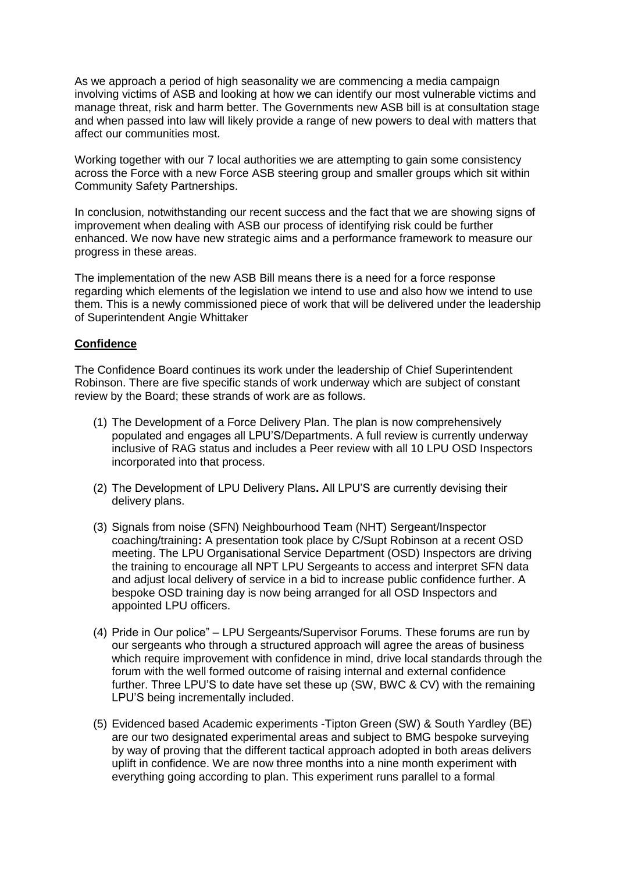As we approach a period of high seasonality we are commencing a media campaign involving victims of ASB and looking at how we can identify our most vulnerable victims and manage threat, risk and harm better. The Governments new ASB bill is at consultation stage and when passed into law will likely provide a range of new powers to deal with matters that affect our communities most.

Working together with our 7 local authorities we are attempting to gain some consistency across the Force with a new Force ASB steering group and smaller groups which sit within Community Safety Partnerships.

In conclusion, notwithstanding our recent success and the fact that we are showing signs of improvement when dealing with ASB our process of identifying risk could be further enhanced. We now have new strategic aims and a performance framework to measure our progress in these areas.

The implementation of the new ASB Bill means there is a need for a force response regarding which elements of the legislation we intend to use and also how we intend to use them. This is a newly commissioned piece of work that will be delivered under the leadership of Superintendent Angie Whittaker

# **Confidence**

The Confidence Board continues its work under the leadership of Chief Superintendent Robinson. There are five specific stands of work underway which are subject of constant review by the Board; these strands of work are as follows.

- (1) The Development of a Force Delivery Plan. The plan is now comprehensively populated and engages all LPU'S/Departments. A full review is currently underway inclusive of RAG status and includes a Peer review with all 10 LPU OSD Inspectors incorporated into that process.
- (2) The Development of LPU Delivery Plans**.** All LPU'S are currently devising their delivery plans.
- (3) Signals from noise (SFN) Neighbourhood Team (NHT) Sergeant/Inspector coaching/training**:** A presentation took place by C/Supt Robinson at a recent OSD meeting. The LPU Organisational Service Department (OSD) Inspectors are driving the training to encourage all NPT LPU Sergeants to access and interpret SFN data and adjust local delivery of service in a bid to increase public confidence further. A bespoke OSD training day is now being arranged for all OSD Inspectors and appointed LPU officers.
- (4) Pride in Our police" LPU Sergeants/Supervisor Forums. These forums are run by our sergeants who through a structured approach will agree the areas of business which require improvement with confidence in mind, drive local standards through the forum with the well formed outcome of raising internal and external confidence further. Three LPU'S to date have set these up (SW, BWC & CV) with the remaining LPU'S being incrementally included.
- (5) Evidenced based Academic experiments -Tipton Green (SW) & South Yardley (BE) are our two designated experimental areas and subject to BMG bespoke surveying by way of proving that the different tactical approach adopted in both areas delivers uplift in confidence. We are now three months into a nine month experiment with everything going according to plan. This experiment runs parallel to a formal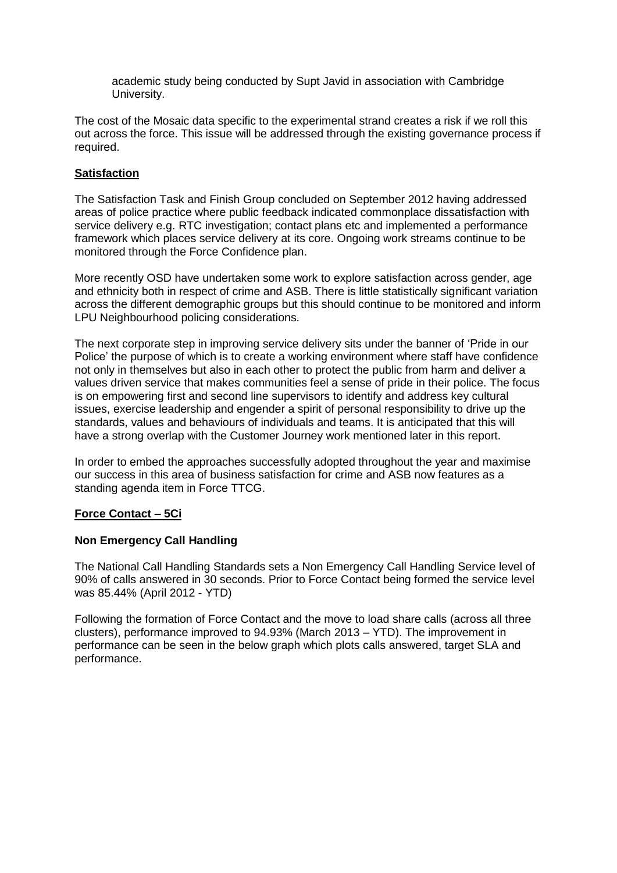academic study being conducted by Supt Javid in association with Cambridge University.

The cost of the Mosaic data specific to the experimental strand creates a risk if we roll this out across the force. This issue will be addressed through the existing governance process if required.

# **Satisfaction**

The Satisfaction Task and Finish Group concluded on September 2012 having addressed areas of police practice where public feedback indicated commonplace dissatisfaction with service delivery e.g. RTC investigation; contact plans etc and implemented a performance framework which places service delivery at its core. Ongoing work streams continue to be monitored through the Force Confidence plan.

More recently OSD have undertaken some work to explore satisfaction across gender, age and ethnicity both in respect of crime and ASB. There is little statistically significant variation across the different demographic groups but this should continue to be monitored and inform LPU Neighbourhood policing considerations.

The next corporate step in improving service delivery sits under the banner of 'Pride in our Police' the purpose of which is to create a working environment where staff have confidence not only in themselves but also in each other to protect the public from harm and deliver a values driven service that makes communities feel a sense of pride in their police. The focus is on empowering first and second line supervisors to identify and address key cultural issues, exercise leadership and engender a spirit of personal responsibility to drive up the standards, values and behaviours of individuals and teams. It is anticipated that this will have a strong overlap with the Customer Journey work mentioned later in this report.

In order to embed the approaches successfully adopted throughout the year and maximise our success in this area of business satisfaction for crime and ASB now features as a standing agenda item in Force TTCG.

# **Force Contact – 5Ci**

# **Non Emergency Call Handling**

The National Call Handling Standards sets a Non Emergency Call Handling Service level of 90% of calls answered in 30 seconds. Prior to Force Contact being formed the service level was 85.44% (April 2012 - YTD)

Following the formation of Force Contact and the move to load share calls (across all three clusters), performance improved to 94.93% (March 2013 – YTD). The improvement in performance can be seen in the below graph which plots calls answered, target SLA and performance.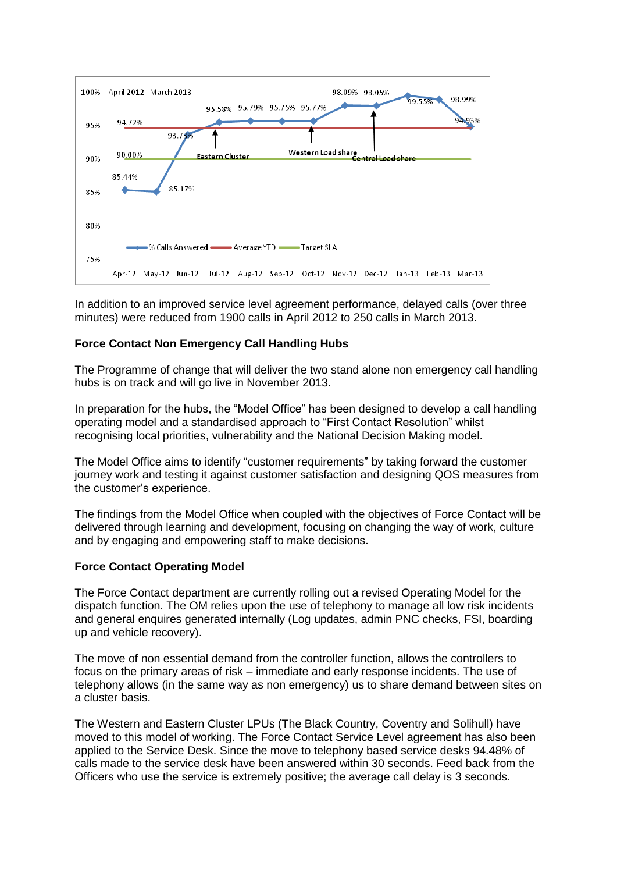

In addition to an improved service level agreement performance, delayed calls (over three minutes) were reduced from 1900 calls in April 2012 to 250 calls in March 2013.

# **Force Contact Non Emergency Call Handling Hubs**

The Programme of change that will deliver the two stand alone non emergency call handling hubs is on track and will go live in November 2013.

In preparation for the hubs, the "Model Office" has been designed to develop a call handling operating model and a standardised approach to "First Contact Resolution" whilst recognising local priorities, vulnerability and the National Decision Making model.

The Model Office aims to identify "customer requirements" by taking forward the customer journey work and testing it against customer satisfaction and designing QOS measures from the customer's experience.

The findings from the Model Office when coupled with the objectives of Force Contact will be delivered through learning and development, focusing on changing the way of work, culture and by engaging and empowering staff to make decisions.

# **Force Contact Operating Model**

The Force Contact department are currently rolling out a revised Operating Model for the dispatch function. The OM relies upon the use of telephony to manage all low risk incidents and general enquires generated internally (Log updates, admin PNC checks, FSI, boarding up and vehicle recovery).

The move of non essential demand from the controller function, allows the controllers to focus on the primary areas of risk – immediate and early response incidents. The use of telephony allows (in the same way as non emergency) us to share demand between sites on a cluster basis.

The Western and Eastern Cluster LPUs (The Black Country, Coventry and Solihull) have moved to this model of working. The Force Contact Service Level agreement has also been applied to the Service Desk. Since the move to telephony based service desks 94.48% of calls made to the service desk have been answered within 30 seconds. Feed back from the Officers who use the service is extremely positive; the average call delay is 3 seconds.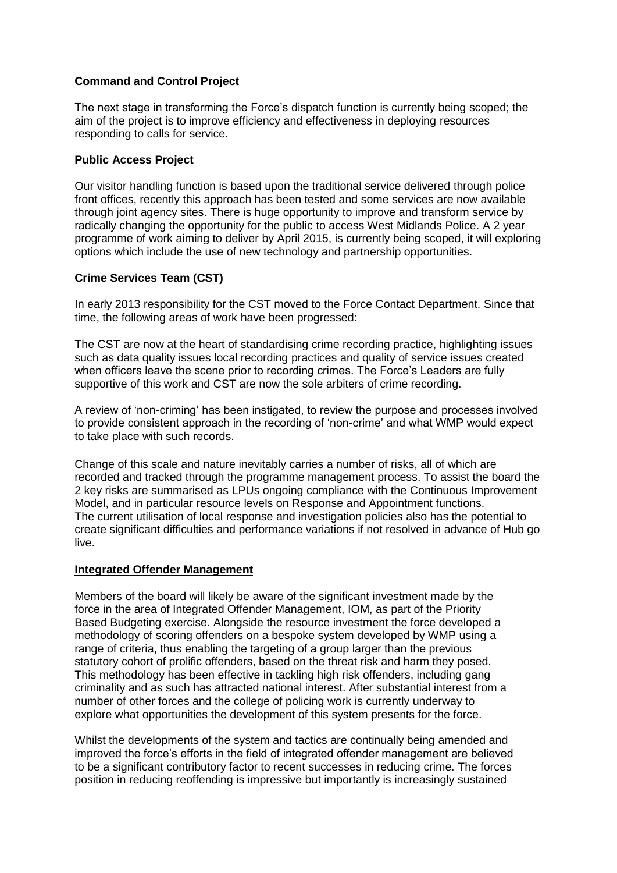# **Command and Control Project**

The next stage in transforming the Force's dispatch function is currently being scoped; the aim of the project is to improve efficiency and effectiveness in deploying resources responding to calls for service.

#### **Public Access Project**

Our visitor handling function is based upon the traditional service delivered through police front offices, recently this approach has been tested and some services are now available through joint agency sites. There is huge opportunity to improve and transform service by radically changing the opportunity for the public to access West Midlands Police. A 2 year programme of work aiming to deliver by April 2015, is currently being scoped, it will exploring options which include the use of new technology and partnership opportunities.

#### **Crime Services Team (CST)**

In early 2013 responsibility for the CST moved to the Force Contact Department. Since that time, the following areas of work have been progressed:

The CST are now at the heart of standardising crime recording practice, highlighting issues such as data quality issues local recording practices and quality of service issues created when officers leave the scene prior to recording crimes. The Force's Leaders are fully supportive of this work and CST are now the sole arbiters of crime recording.

A review of 'non-criming' has been instigated, to review the purpose and processes involved to provide consistent approach in the recording of 'non-crime' and what WMP would expect to take place with such records.

Change of this scale and nature inevitably carries a number of risks, all of which are recorded and tracked through the programme management process. To assist the board the 2 key risks are summarised as LPUs ongoing compliance with the Continuous Improvement Model, and in particular resource levels on Response and Appointment functions. The current utilisation of local response and investigation policies also has the potential to create significant difficulties and performance variations if not resolved in advance of Hub go live.

#### **Integrated Offender Management**

Members of the board will likely be aware of the significant investment made by the force in the area of Integrated Offender Management, IOM, as part of the Priority Based Budgeting exercise. Alongside the resource investment the force developed a methodology of scoring offenders on a bespoke system developed by WMP using a range of criteria, thus enabling the targeting of a group larger than the previous statutory cohort of prolific offenders, based on the threat risk and harm they posed. This methodology has been effective in tackling high risk offenders, including gang criminality and as such has attracted national interest. After substantial interest from a number of other forces and the college of policing work is currently underway to explore what opportunities the development of this system presents for the force.

Whilst the developments of the system and tactics are continually being amended and improved the force's efforts in the field of integrated offender management are believed to be a significant contributory factor to recent successes in reducing crime. The forces position in reducing reoffending is impressive but importantly is increasingly sustained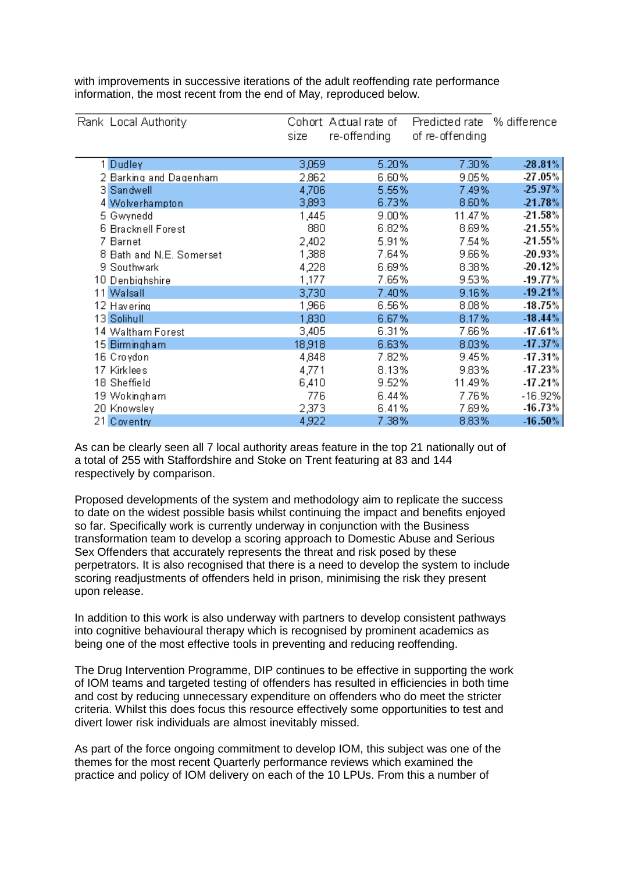| Rank Local Authority     | sizel  | Cohort Actual rate of<br>re-offending | Predicted rate % difference<br>of re-offending |            |
|--------------------------|--------|---------------------------------------|------------------------------------------------|------------|
| 1 Dudley                 | 3,059  | 5.20%                                 | 7.30%                                          | $-28.81%$  |
| 2 Barking and Dagenham   | 2,862  | 6.60%                                 | 9.05%                                          | -27.05%    |
| 3 Sandwell               | 4,706  | 5.55%                                 | 7.49%                                          | 25.97%     |
| 4 Wolverhampton          | 3,893  | 6.73%                                 | 8.60%                                          | 21.78%     |
| 5 Gwynedd                | 1,445  | 9.00%                                 | 11.47%                                         | 21.58%     |
| 6 Bracknell Forest       | 880    | 6.82%                                 | 8.69%                                          | 21.55%     |
| 7 Barnet                 | 2,402  | 5.91%                                 | 7.54%                                          | 21.55%     |
| 8 Bath and N.E. Somerset | 1,388  | 7.64%                                 | 9.66%                                          | 20.93%     |
| 9 Southwark              | 4,228  | 6.69%                                 | 8.38%                                          | 20.12%     |
| 10 Denbighshire          | 1,177  | 7.65%                                 | 9.53%                                          | $-19.77%$  |
| 11 Walsall               | 3,730  | 7.40%                                 | 9.16%                                          | $-19.21%$  |
| 12 Havering              | 1,966  | 6.56%                                 | 8.08%                                          | $-18.75\%$ |
| 13 Solihull              | 1,830  | 6.67%                                 | 8.17%                                          | $-18.44%$  |
| 14 Waltham Forest        | 3,405  | 6.31%                                 | 7.66%                                          | $-17.61%$  |
| 15 Birmingham            | 18,918 | 6.63%                                 | 8.03%                                          | $-17.37%$  |
| 16 Croydon               | 4,848  | 7.82%                                 | 9.45%                                          | $-17.31%$  |
| 17 Kirklees              | 4,771  | 8.13%                                 | 9.83%                                          | $-17.23%$  |
| 18 Sheffield             | 6,410  | 9.52%                                 | 11.49%                                         | $-17.21%$  |
| 19 Wokingham             | 776    | 6.44%                                 | 7.76%                                          | $-16.92%$  |
| 20 Knowsley              | 2,373  | 6.41%                                 | 7.69%                                          | $-16.73%$  |
| 21 Coventry              | 4,922  | 7.38%                                 | 8.83%                                          | $-16.50\%$ |

with improvements in successive iterations of the adult reoffending rate performance information, the most recent from the end of May, reproduced below.

As can be clearly seen all 7 local authority areas feature in the top 21 nationally out of a total of 255 with Staffordshire and Stoke on Trent featuring at 83 and 144 respectively by comparison.

Proposed developments of the system and methodology aim to replicate the success to date on the widest possible basis whilst continuing the impact and benefits enjoyed so far. Specifically work is currently underway in conjunction with the Business transformation team to develop a scoring approach to Domestic Abuse and Serious Sex Offenders that accurately represents the threat and risk posed by these perpetrators. It is also recognised that there is a need to develop the system to include scoring readjustments of offenders held in prison, minimising the risk they present upon release.

In addition to this work is also underway with partners to develop consistent pathways into cognitive behavioural therapy which is recognised by prominent academics as being one of the most effective tools in preventing and reducing reoffending.

The Drug Intervention Programme, DIP continues to be effective in supporting the work of IOM teams and targeted testing of offenders has resulted in efficiencies in both time and cost by reducing unnecessary expenditure on offenders who do meet the stricter criteria. Whilst this does focus this resource effectively some opportunities to test and divert lower risk individuals are almost inevitably missed.

As part of the force ongoing commitment to develop IOM, this subject was one of the themes for the most recent Quarterly performance reviews which examined the practice and policy of IOM delivery on each of the 10 LPUs. From this a number of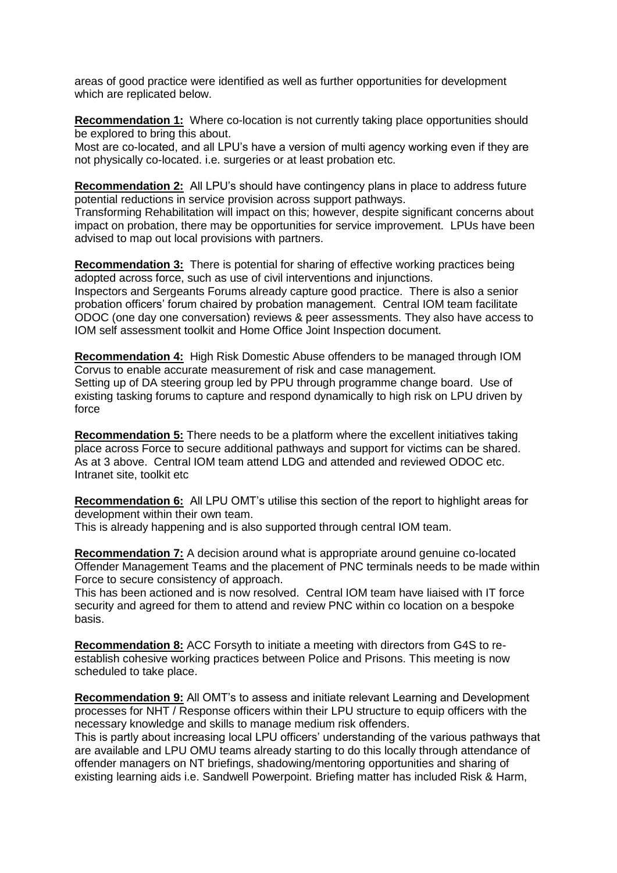areas of good practice were identified as well as further opportunities for development which are replicated below.

**Recommendation 1:** Where co-location is not currently taking place opportunities should be explored to bring this about.

Most are co-located, and all LPU's have a version of multi agency working even if they are not physically co-located. i.e. surgeries or at least probation etc.

**Recommendation 2:** All LPU's should have contingency plans in place to address future potential reductions in service provision across support pathways.

Transforming Rehabilitation will impact on this; however, despite significant concerns about impact on probation, there may be opportunities for service improvement. LPUs have been advised to map out local provisions with partners.

**Recommendation 3:** There is potential for sharing of effective working practices being adopted across force, such as use of civil interventions and injunctions. Inspectors and Sergeants Forums already capture good practice. There is also a senior probation officers' forum chaired by probation management. Central IOM team facilitate ODOC (one day one conversation) reviews & peer assessments. They also have access to IOM self assessment toolkit and Home Office Joint Inspection document.

**Recommendation 4:** High Risk Domestic Abuse offenders to be managed through IOM Corvus to enable accurate measurement of risk and case management. Setting up of DA steering group led by PPU through programme change board. Use of existing tasking forums to capture and respond dynamically to high risk on LPU driven by force

**Recommendation 5:** There needs to be a platform where the excellent initiatives taking place across Force to secure additional pathways and support for victims can be shared. As at 3 above. Central IOM team attend LDG and attended and reviewed ODOC etc. Intranet site, toolkit etc

**Recommendation 6:** All LPU OMT's utilise this section of the report to highlight areas for development within their own team.

This is already happening and is also supported through central IOM team.

**Recommendation 7:** A decision around what is appropriate around genuine co-located Offender Management Teams and the placement of PNC terminals needs to be made within Force to secure consistency of approach.

This has been actioned and is now resolved. Central IOM team have liaised with IT force security and agreed for them to attend and review PNC within co location on a bespoke basis.

**Recommendation 8:** ACC Forsyth to initiate a meeting with directors from G4S to reestablish cohesive working practices between Police and Prisons. This meeting is now scheduled to take place.

**Recommendation 9:** All OMT's to assess and initiate relevant Learning and Development processes for NHT / Response officers within their LPU structure to equip officers with the necessary knowledge and skills to manage medium risk offenders.

This is partly about increasing local LPU officers' understanding of the various pathways that are available and LPU OMU teams already starting to do this locally through attendance of offender managers on NT briefings, shadowing/mentoring opportunities and sharing of existing learning aids i.e. Sandwell Powerpoint. Briefing matter has included Risk & Harm,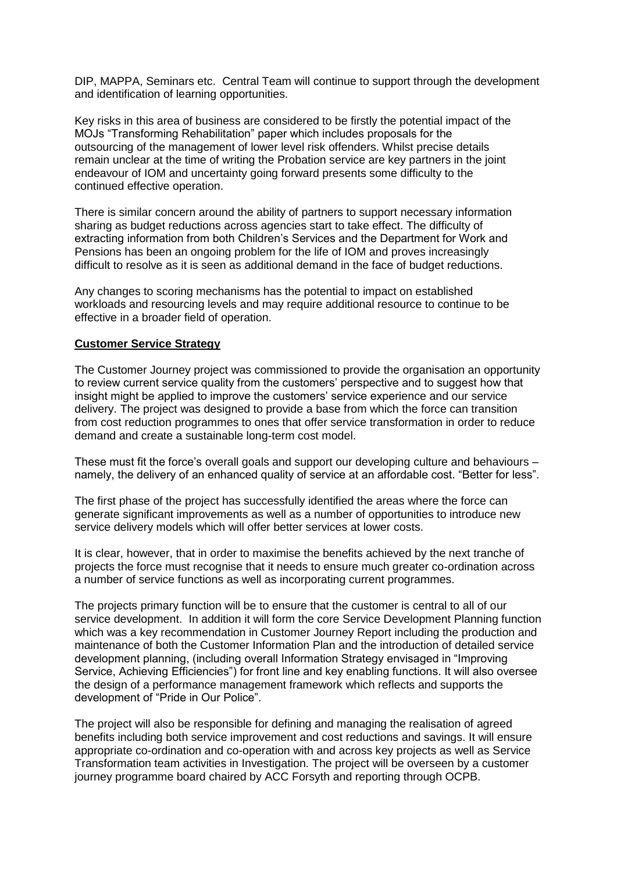DIP, MAPPA, Seminars etc. Central Team will continue to support through the development and identification of learning opportunities.

Key risks in this area of business are considered to be firstly the potential impact of the MOJs "Transforming Rehabilitation" paper which includes proposals for the outsourcing of the management of lower level risk offenders. Whilst precise details remain unclear at the time of writing the Probation service are key partners in the joint endeavour of IOM and uncertainty going forward presents some difficulty to the continued effective operation.

There is similar concern around the ability of partners to support necessary information sharing as budget reductions across agencies start to take effect. The difficulty of extracting information from both Children's Services and the Department for Work and Pensions has been an ongoing problem for the life of IOM and proves increasingly difficult to resolve as it is seen as additional demand in the face of budget reductions.

Any changes to scoring mechanisms has the potential to impact on established workloads and resourcing levels and may require additional resource to continue to be effective in a broader field of operation.

#### **Customer Service Strategy**

The Customer Journey project was commissioned to provide the organisation an opportunity to review current service quality from the customers' perspective and to suggest how that insight might be applied to improve the customers' service experience and our service delivery. The project was designed to provide a base from which the force can transition from cost reduction programmes to ones that offer service transformation in order to reduce demand and create a sustainable long-term cost model.

These must fit the force's overall goals and support our developing culture and behaviours – namely, the delivery of an enhanced quality of service at an affordable cost. "Better for less".

The first phase of the project has successfully identified the areas where the force can generate significant improvements as well as a number of opportunities to introduce new service delivery models which will offer better services at lower costs.

It is clear, however, that in order to maximise the benefits achieved by the next tranche of projects the force must recognise that it needs to ensure much greater co-ordination across a number of service functions as well as incorporating current programmes.

The projects primary function will be to ensure that the customer is central to all of our service development. In addition it will form the core Service Development Planning function which was a key recommendation in Customer Journey Report including the production and maintenance of both the Customer Information Plan and the introduction of detailed service development planning, (including overall Information Strategy envisaged in "Improving Service, Achieving Efficiencies") for front line and key enabling functions. It will also oversee the design of a performance management framework which reflects and supports the development of "Pride in Our Police".

The project will also be responsible for defining and managing the realisation of agreed benefits including both service improvement and cost reductions and savings. It will ensure appropriate co-ordination and co-operation with and across key projects as well as Service Transformation team activities in Investigation. The project will be overseen by a customer journey programme board chaired by ACC Forsyth and reporting through OCPB.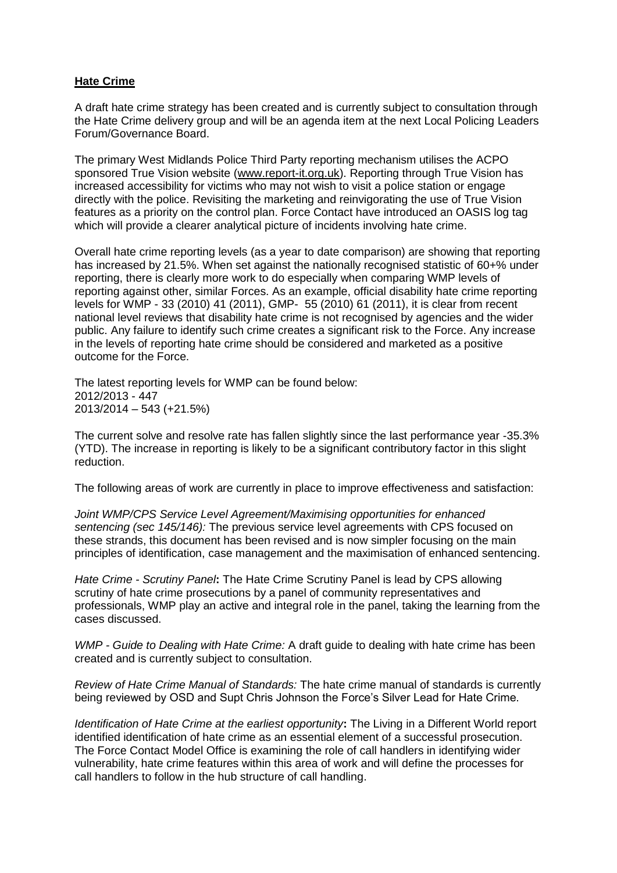#### **Hate Crime**

A draft hate crime strategy has been created and is currently subject to consultation through the Hate Crime delivery group and will be an agenda item at the next Local Policing Leaders Forum/Governance Board.

The primary West Midlands Police Third Party reporting mechanism utilises the ACPO sponsored True Vision website [\(www.report-it.org.uk\)](http://www.report-it.org.uk/). Reporting through True Vision has increased accessibility for victims who may not wish to visit a police station or engage directly with the police. Revisiting the marketing and reinvigorating the use of True Vision features as a priority on the control plan. Force Contact have introduced an OASIS log tag which will provide a clearer analytical picture of incidents involving hate crime.

Overall hate crime reporting levels (as a year to date comparison) are showing that reporting has increased by 21.5%. When set against the nationally recognised statistic of 60+% under reporting, there is clearly more work to do especially when comparing WMP levels of reporting against other, similar Forces. As an example, official disability hate crime reporting levels for WMP - 33 (2010) 41 (2011), GMP- 55 (2010) 61 (2011), it is clear from recent national level reviews that disability hate crime is not recognised by agencies and the wider public. Any failure to identify such crime creates a significant risk to the Force. Any increase in the levels of reporting hate crime should be considered and marketed as a positive outcome for the Force.

The latest reporting levels for WMP can be found below: 2012/2013 - 447 2013/2014 – 543 (+21.5%)

The current solve and resolve rate has fallen slightly since the last performance year -35.3% (YTD). The increase in reporting is likely to be a significant contributory factor in this slight reduction.

The following areas of work are currently in place to improve effectiveness and satisfaction:

*Joint WMP/CPS Service Level Agreement/Maximising opportunities for enhanced sentencing (sec 145/146):* The previous service level agreements with CPS focused on these strands, this document has been revised and is now simpler focusing on the main principles of identification, case management and the maximisation of enhanced sentencing.

*Hate Crime - Scrutiny Panel***:** The Hate Crime Scrutiny Panel is lead by CPS allowing scrutiny of hate crime prosecutions by a panel of community representatives and professionals, WMP play an active and integral role in the panel, taking the learning from the cases discussed.

*WMP - Guide to Dealing with Hate Crime:* A draft guide to dealing with hate crime has been created and is currently subject to consultation.

*Review of Hate Crime Manual of Standards:* The hate crime manual of standards is currently being reviewed by OSD and Supt Chris Johnson the Force's Silver Lead for Hate Crime.

*Identification of Hate Crime at the earliest opportunity***:** The Living in a Different World report identified identification of hate crime as an essential element of a successful prosecution. The Force Contact Model Office is examining the role of call handlers in identifying wider vulnerability, hate crime features within this area of work and will define the processes for call handlers to follow in the hub structure of call handling.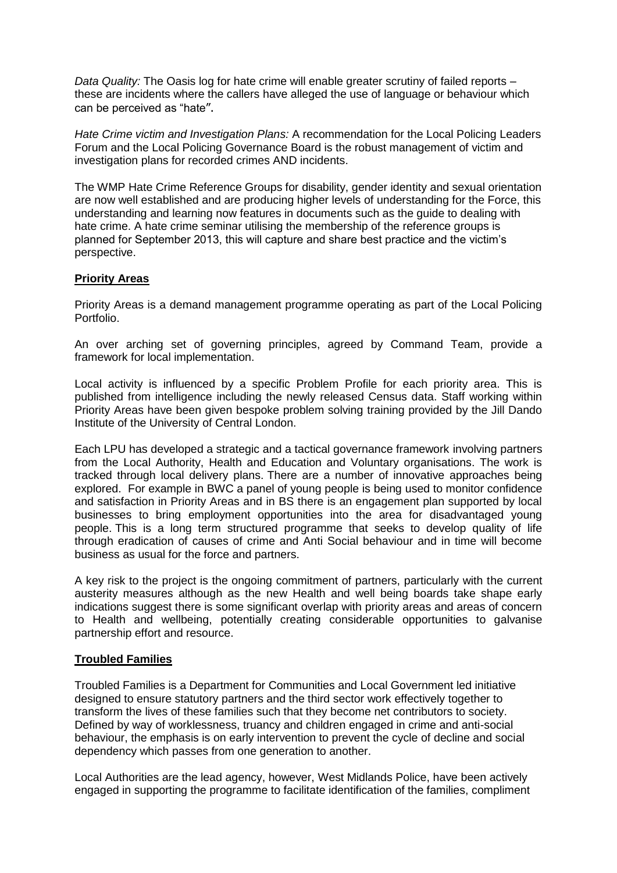*Data Quality:* The Oasis log for hate crime will enable greater scrutiny of failed reports – these are incidents where the callers have alleged the use of language or behaviour which can be perceived as "hate".

*Hate Crime victim and Investigation Plans:* A recommendation for the Local Policing Leaders Forum and the Local Policing Governance Board is the robust management of victim and investigation plans for recorded crimes AND incidents.

The WMP Hate Crime Reference Groups for disability, gender identity and sexual orientation are now well established and are producing higher levels of understanding for the Force, this understanding and learning now features in documents such as the guide to dealing with hate crime. A hate crime seminar utilising the membership of the reference groups is planned for September 2013, this will capture and share best practice and the victim's perspective.

# **Priority Areas**

Priority Areas is a demand management programme operating as part of the Local Policing Portfolio.

An over arching set of governing principles, agreed by Command Team, provide a framework for local implementation.

Local activity is influenced by a specific Problem Profile for each priority area. This is published from intelligence including the newly released Census data. Staff working within Priority Areas have been given bespoke problem solving training provided by the Jill Dando Institute of the University of Central London.

Each LPU has developed a strategic and a tactical governance framework involving partners from the Local Authority, Health and Education and Voluntary organisations. The work is tracked through local delivery plans. There are a number of innovative approaches being explored. For example in BWC a panel of young people is being used to monitor confidence and satisfaction in Priority Areas and in BS there is an engagement plan supported by local businesses to bring employment opportunities into the area for disadvantaged young people. This is a long term structured programme that seeks to develop quality of life through eradication of causes of crime and Anti Social behaviour and in time will become business as usual for the force and partners.

A key risk to the project is the ongoing commitment of partners, particularly with the current austerity measures although as the new Health and well being boards take shape early indications suggest there is some significant overlap with priority areas and areas of concern to Health and wellbeing, potentially creating considerable opportunities to galvanise partnership effort and resource.

# **Troubled Families**

Troubled Families is a Department for Communities and Local Government led initiative designed to ensure statutory partners and the third sector work effectively together to transform the lives of these families such that they become net contributors to society. Defined by way of worklessness, truancy and children engaged in crime and anti-social behaviour, the emphasis is on early intervention to prevent the cycle of decline and social dependency which passes from one generation to another.

Local Authorities are the lead agency, however, West Midlands Police, have been actively engaged in supporting the programme to facilitate identification of the families, compliment